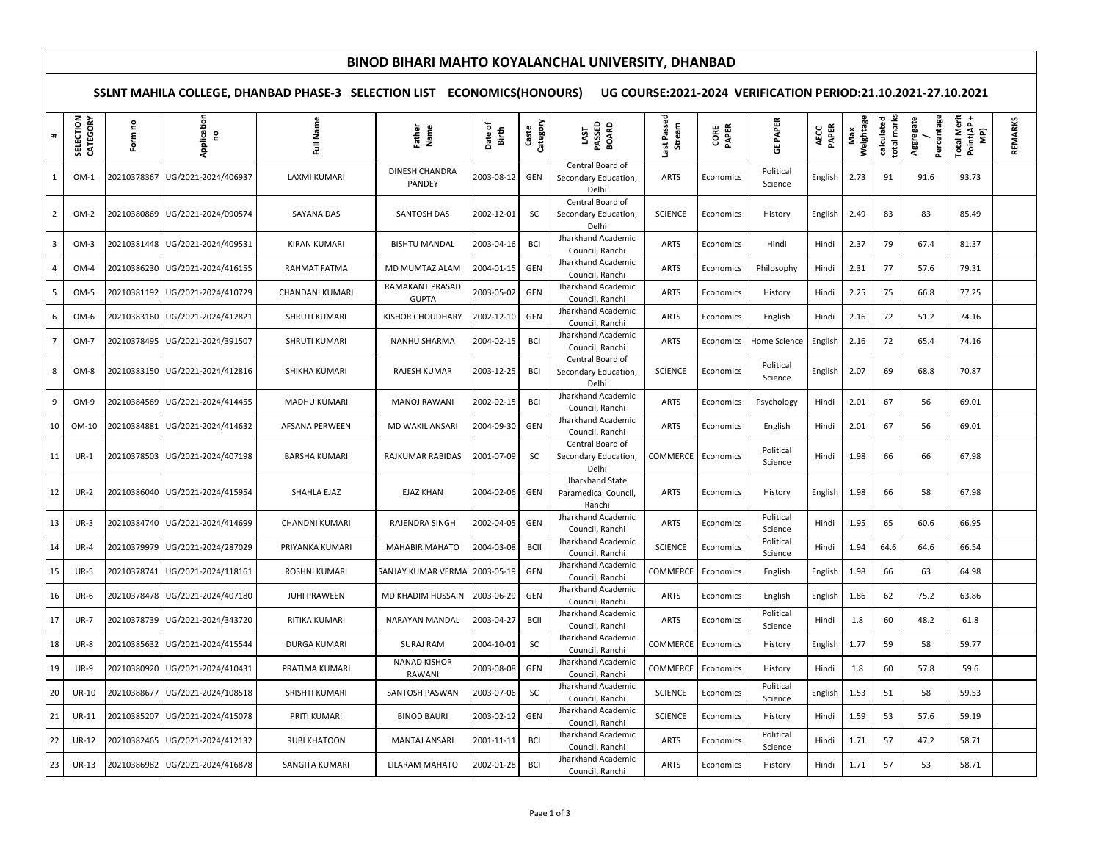## **BINOD BIHARI MAHTO KOYALANCHAL UNIVERSITY, DHANBAD**

**SSLNT MAHILA COLLEGE, DHANBAD PHASE-3 SELECTION LIST ECONOMICS(HONOURS) UG COURSE:2021-2024 VERIFICATION PERIOD:21.10.2021-27.10.2021**

| $\pm$                   | LECTION<br>CATEGORY<br>퓑 | $\mathsf s$<br>Form | pplication<br>ဥ                 | Full Name            | Father<br>Name                  | Date of<br>Birth | Category<br>Caste | LAST<br>PASSED<br>BOARD                           | Passec<br>Stream<br>ಜ | CORE<br>PAPER | PAPER<br>ូម          | AECC<br>PAPER | Weightage<br>Max | total marks<br>calculated | Percentage<br>Aggregate | <b>Total Merit</b><br>Point(AP<br>MP) | REMARKS |
|-------------------------|--------------------------|---------------------|---------------------------------|----------------------|---------------------------------|------------------|-------------------|---------------------------------------------------|-----------------------|---------------|----------------------|---------------|------------------|---------------------------|-------------------------|---------------------------------------|---------|
| 1                       | $OM-1$                   | 20210378367         | UG/2021-2024/406937             | LAXMI KUMARI         | DINESH CHANDRA<br>PANDEY        | 2003-08-12       | GEN               | Central Board of<br>Secondary Education,<br>Delhi | ARTS                  | Economics     | Political<br>Science | English       | 2.73             | 91                        | 91.6                    | 93.73                                 |         |
| 2                       | $OM-2$                   |                     | 20210380869 UG/2021-2024/090574 | <b>SAYANA DAS</b>    | SANTOSH DAS                     | 2002-12-01       | SC                | Central Board of<br>Secondary Education,<br>Delhi | <b>SCIENCE</b>        | Economics     | History              | English       | 2.49             | 83                        | 83                      | 85.49                                 |         |
| $\overline{\mathbf{3}}$ | $OM-3$                   |                     | 20210381448 UG/2021-2024/409531 | <b>KIRAN KUMARI</b>  | <b>BISHTU MANDAL</b>            | 2003-04-16       | <b>BCI</b>        | Jharkhand Academic<br>Council, Ranchi             | <b>ARTS</b>           | Economics     | Hindi                | Hindi         | 2.37             | 79                        | 67.4                    | 81.37                                 |         |
| $\overline{A}$          | OM-4                     |                     | 20210386230 UG/2021-2024/416155 | RAHMAT FATMA         | MD MUMTAZ ALAM                  | 2004-01-15       | GEN               | Jharkhand Academic<br>Council, Ranchi             | <b>ARTS</b>           | Economics     | Philosophy           | Hindi         | 2.31             | 77                        | 57.6                    | 79.31                                 |         |
| 5                       | OM-5                     | 20210381192         | UG/2021-2024/410729             | CHANDANI KUMARI      | RAMAKANT PRASAD<br><b>GUPTA</b> | 2003-05-02       | GEN               | Jharkhand Academic<br>Council, Ranchi             | ARTS                  | Economics     | History              | Hindi         | 2.25             | 75                        | 66.8                    | 77.25                                 |         |
| 6                       | OM-6                     | 20210383160         | UG/2021-2024/412821             | SHRUTI KUMARI        | <b>KISHOR CHOUDHARY</b>         | 2002-12-10       | GEN               | Jharkhand Academic<br>Council, Ranchi             | <b>ARTS</b>           | Economics     | English              | Hindi         | 2.16             | 72                        | 51.2                    | 74.16                                 |         |
| $\overline{7}$          | OM-7                     | 20210378495         | UG/2021-2024/391507             | SHRUTI KUMARI        | NANHU SHARMA                    | 2004-02-15       | <b>BCI</b>        | Jharkhand Academic<br>Council, Ranchi             | ARTS                  | Economics     | Home Science         | English       | 2.16             | 72                        | 65.4                    | 74.16                                 |         |
| 8                       | OM-8                     |                     | 20210383150 UG/2021-2024/412816 | SHIKHA KUMARI        | RAJESH KUMAR                    | 2003-12-25       | <b>BCI</b>        | Central Board of<br>Secondary Education,<br>Delhi | <b>SCIENCE</b>        | Economics     | Political<br>Science | English       | 2.07             | 69                        | 68.8                    | 70.87                                 |         |
| 9                       | OM-9                     |                     | 20210384569 UG/2021-2024/414455 | <b>MADHU KUMARI</b>  | <b>MANOJ RAWANI</b>             | 2002-02-15       | BCI               | Jharkhand Academic<br>Council, Ranchi             | <b>ARTS</b>           | Economics     | Psychology           | Hindi         | 2.01             | 67                        | 56                      | 69.01                                 |         |
| 10                      | OM-10                    | 20210384881         | UG/2021-2024/414632             | AFSANA PERWEEN       | <b>MD WAKIL ANSARI</b>          | 2004-09-30       | GEN               | Jharkhand Academic<br>Council, Ranchi             | <b>ARTS</b>           | Economics     | English              | Hindi         | 2.01             | 67                        | 56                      | 69.01                                 |         |
| 11                      | $UR-1$                   | 20210378503         | UG/2021-2024/407198             | <b>BARSHA KUMARI</b> | RAJKUMAR RABIDAS                | 2001-07-09       | SC                | Central Board of<br>Secondary Education,<br>Delhi | COMMERCE              | Economics     | Political<br>Science | Hindi         | 1.98             | 66                        | 66                      | 67.98                                 |         |
| 12                      | <b>UR-2</b>              | 20210386040         | UG/2021-2024/415954             | SHAHLA EJAZ          | <b>EJAZ KHAN</b>                | 2004-02-06       | GEN               | Jharkhand State<br>Paramedical Council,<br>Ranchi | ARTS                  | Economics     | History              | English       | 1.98             | 66                        | 58                      | 67.98                                 |         |
| 13                      | $UR-3$                   | 20210384740         | UG/2021-2024/414699             | CHANDNI KUMARI       | RAJENDRA SINGH                  | 2002-04-05       | GEN               | Jharkhand Academic<br>Council, Ranchi             | ARTS                  | Economics     | Political<br>Science | Hindi         | 1.95             | 65                        | 60.6                    | 66.95                                 |         |
| 14                      | $UR-4$                   | 20210379979         | UG/2021-2024/287029             | PRIYANKA KUMARI      | <b>MAHABIR MAHATO</b>           | 2004-03-08       | <b>BCII</b>       | Jharkhand Academic<br>Council, Ranchi             | <b>SCIENCE</b>        | Economics     | Political<br>Science | Hindi         | 1.94             | 64.6                      | 64.6                    | 66.54                                 |         |
| 15                      | <b>UR-5</b>              | 20210378741         | UG/2021-2024/118161             | <b>ROSHNI KUMARI</b> | SANJAY KUMAR VERMA              | 2003-05-19       | GEN               | Jharkhand Academic<br>Council, Ranchi             | COMMERCE              | Economics     | English              | English       | 1.98             | 66                        | 63                      | 64.98                                 |         |
| 16                      | <b>UR-6</b>              | 20210378478         | UG/2021-2024/407180             | JUHI PRAWEEN         | MD KHADIM HUSSAIN               | 2003-06-29       | <b>GEN</b>        | Jharkhand Academic<br>Council, Ranchi             | <b>ARTS</b>           | Economics     | English              | English       | 1.86             | 62                        | 75.2                    | 63.86                                 |         |
| 17                      | <b>UR-7</b>              | 20210378739         | UG/2021-2024/343720             | RITIKA KUMARI        | NARAYAN MANDAL                  | 2003-04-27       | <b>BCII</b>       | Jharkhand Academic<br>Council, Ranchi             | <b>ARTS</b>           | Economics     | Political<br>Science | Hindi         | 1.8              | 60                        | 48.2                    | 61.8                                  |         |
| 18                      | <b>UR-8</b>              | 20210385632         | UG/2021-2024/415544             | <b>DURGA KUMARI</b>  | <b>SURAJ RAM</b>                | 2004-10-01       | SC                | Jharkhand Academic<br>Council, Ranchi             | COMMERCE              | Economics     | History              | English       | 1.77             | 59                        | 58                      | 59.77                                 |         |
| 19                      | <b>UR-9</b>              | 20210380920         | UG/2021-2024/410431             | PRATIMA KUMARI       | <b>NANAD KISHOR</b><br>RAWANI   | 2003-08-08       | GEN               | Jharkhand Academic<br>Council, Ranchi             | COMMERCE              | Economics     | History              | Hindi         | 1.8              | 60                        | 57.8                    | 59.6                                  |         |
| 20                      | <b>UR-10</b>             | 20210388677         | UG/2021-2024/108518             | SRISHTI KUMARI       | SANTOSH PASWAN                  | 2003-07-06       | SC                | Jharkhand Academic<br>Council, Ranchi             | <b>SCIENCE</b>        | Economics     | Political<br>Science | English       | 1.53             | 51                        | 58                      | 59.53                                 |         |
| 21                      | UR-11                    | 20210385207         | UG/2021-2024/415078             | PRITI KUMARI         | <b>BINOD BAURI</b>              | 2003-02-12       | GEN               | Jharkhand Academic<br>Council, Ranchi             | <b>SCIENCE</b>        | Economics     | History              | Hindi         | 1.59             | 53                        | 57.6                    | 59.19                                 |         |
| 22                      | <b>UR-12</b>             | 20210382465         | UG/2021-2024/412132             | <b>RUBI KHATOON</b>  | <b>MANTAJ ANSARI</b>            | 2001-11-11       | <b>BCI</b>        | Jharkhand Academic<br>Council, Ranchi             | <b>ARTS</b>           | Economics     | Political<br>Science | Hindi         | 1.71             | 57                        | 47.2                    | 58.71                                 |         |
| 23                      | <b>UR-13</b>             | 20210386982         | UG/2021-2024/416878             | SANGITA KUMARI       | LILARAM MAHATO                  | 2002-01-28       | <b>BCI</b>        | Jharkhand Academic<br>Council, Ranchi             | <b>ARTS</b>           | Economics     | History              | Hindi         | 1.71             | 57                        | 53                      | 58.71                                 |         |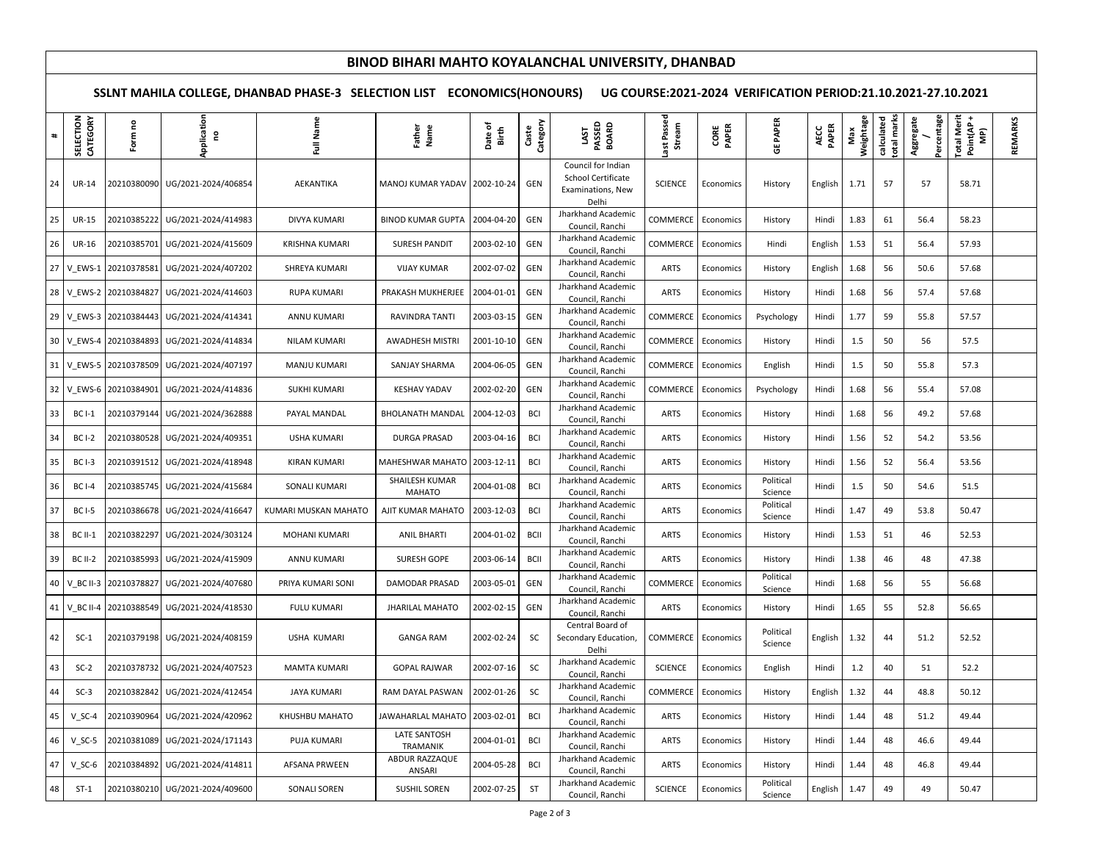## **BINOD BIHARI MAHTO KOYALANCHAL UNIVERSITY, DHANBAD**

**SSLNT MAHILA COLLEGE, DHANBAD PHASE-3 SELECTION LIST ECONOMICS(HONOURS) UG COURSE:2021-2024 VERIFICATION PERIOD:21.10.2021-27.10.2021**

| $\texttt{+}$    | SELECTION<br>CATEGORY | Form no     | pplication<br>ဥ                 | Full Name             | Name<br>Father                  | Date of<br>Birth | Category<br>Caste | LAST<br>PASSED<br>BOARD                                                | ast Passed<br>Stream | CORE<br>PAPER | GE PAPER             | AECC<br>PAPER | Weightage<br>Max | calculated<br>otal marks | Percentage<br>Aggregate | Total Merit<br>Point(AP +<br>MP) | REMARKS |
|-----------------|-----------------------|-------------|---------------------------------|-----------------------|---------------------------------|------------------|-------------------|------------------------------------------------------------------------|----------------------|---------------|----------------------|---------------|------------------|--------------------------|-------------------------|----------------------------------|---------|
| 24              | <b>UR-14</b>          | 20210380090 | UG/2021-2024/406854             | AEKANTIKA             | MANOJ KUMAR YADAV               | 2002-10-24       | GEN               | Council for Indian<br>School Certificate<br>Examinations, New<br>Delhi | <b>SCIENCE</b>       | Economics     | History              | English       | 1.71             | 57                       | 57                      | 58.71                            |         |
| 25              | <b>UR-15</b>          | 20210385222 | UG/2021-2024/414983             | DIVYA KUMARI          | <b>BINOD KUMAR GUPTA</b>        | 2004-04-20       | GEN               | Jharkhand Academic<br>Council, Ranchi                                  | COMMERCE             | Economics     | History              | Hindi         | 1.83             | 61                       | 56.4                    | 58.23                            |         |
| 26              | <b>UR-16</b>          | 20210385701 | UG/2021-2024/415609             | <b>KRISHNA KUMARI</b> | <b>SURESH PANDIT</b>            | 2003-02-10       | GEN               | Jharkhand Academic<br>Council, Ranchi                                  | COMMERCE             | Economics     | Hindi                | English       | 1.53             | 51                       | 56.4                    | 57.93                            |         |
| 27              | V EWS-1               | 20210378581 | UG/2021-2024/407202             | SHREYA KUMARI         | <b>VIJAY KUMAR</b>              | 2002-07-02       | GEN               | Jharkhand Academic<br>Council, Ranchi                                  | ARTS                 | Economics     | History              | English       | 1.68             | 56                       | 50.6                    | 57.68                            |         |
|                 | 28 V EWS-2            | 20210384827 | UG/2021-2024/414603             | <b>RUPA KUMARI</b>    | PRAKASH MUKHERJEE               | 2004-01-01       | GEN               | Jharkhand Academic<br>Council, Ranchi                                  | <b>ARTS</b>          | Economics     | History              | Hindi         | 1.68             | 56                       | 57.4                    | 57.68                            |         |
|                 | 29 V_EWS-3            | 20210384443 | UG/2021-2024/414341             | ANNU KUMARI           | RAVINDRA TANTI                  | 2003-03-15       | GEN               | Jharkhand Academic<br>Council, Ranchi                                  | COMMERCE             | Economics     | Psychology           | Hindi         | 1.77             | 59                       | 55.8                    | 57.57                            |         |
| 30 <sup>°</sup> | V_EWS-4               | 20210384893 | UG/2021-2024/414834             | NILAM KUMARI          | AWADHESH MISTRI                 | 2001-10-10       | GEN               | Jharkhand Academic<br>Council, Ranchi                                  | COMMERCE             | Economics     | History              | Hindi         | 1.5              | 50                       | 56                      | 57.5                             |         |
| 31              | V_EWS-5               | 20210378509 | UG/2021-2024/407197             | MANJU KUMARI          | SANJAY SHARMA                   | 2004-06-05       | GEN               | Jharkhand Academic<br>Council, Ranchi                                  | COMMERCE             | Economics     | English              | Hindi         | 1.5              | 50                       | 55.8                    | 57.3                             |         |
|                 | 32 V EWS-6            | 20210384901 | UG/2021-2024/414836             | <b>SUKHI KUMARI</b>   | <b>KESHAV YADAV</b>             | 2002-02-20       | GEN               | Jharkhand Academic<br>Council, Ranchi                                  | COMMERCE             | Economics     | Psychology           | Hindi         | 1.68             | 56                       | 55.4                    | 57.08                            |         |
| 33              | <b>BCI-1</b>          | 20210379144 | UG/2021-2024/362888             | PAYAL MANDAL          | <b>BHOLANATH MANDAL</b>         | 2004-12-03       | <b>BCI</b>        | Jharkhand Academic<br>Council, Ranchi                                  | <b>ARTS</b>          | Economics     | History              | Hindi         | 1.68             | 56                       | 49.2                    | 57.68                            |         |
| 34              | <b>BCI-2</b>          | 20210380528 | UG/2021-2024/409351             | <b>USHA KUMARI</b>    | DURGA PRASAD                    | 2003-04-16       | <b>BCI</b>        | Jharkhand Academic<br>Council, Ranchi                                  | <b>ARTS</b>          | Economics     | History              | Hindi         | 1.56             | 52                       | 54.2                    | 53.56                            |         |
| 35              | $BCI-3$               | 20210391512 | UG/2021-2024/418948             | <b>KIRAN KUMARI</b>   | MAHESHWAR MAHATO                | 2003-12-11       | <b>BCI</b>        | Jharkhand Academic<br>Council, Ranchi                                  | <b>ARTS</b>          | Economics     | History              | Hindi         | 1.56             | 52                       | 56.4                    | 53.56                            |         |
| 36              | <b>BCI-4</b>          | 20210385745 | UG/2021-2024/415684             | SONALI KUMARI         | SHAILESH KUMAR<br><b>MAHATO</b> | 2004-01-08       | <b>BCI</b>        | Jharkhand Academic<br>Council, Ranchi                                  | <b>ARTS</b>          | Economics     | Political<br>Science | Hindi         | 1.5              | 50                       | 54.6                    | 51.5                             |         |
| 37              | <b>BCI-5</b>          | 20210386678 | UG/2021-2024/416647             | KUMARI MUSKAN MAHATO  | AJIT KUMAR MAHATO               | 2003-12-03       | <b>BCI</b>        | Jharkhand Academic<br>Council, Ranchi                                  | <b>ARTS</b>          | Economics     | Political<br>Science | Hindi         | 1.47             | 49                       | 53.8                    | 50.47                            |         |
| 38              | <b>BC II-1</b>        | 20210382297 | UG/2021-2024/303124             | <b>MOHANI KUMARI</b>  | <b>ANIL BHARTI</b>              | 2004-01-02       | <b>BCII</b>       | Jharkhand Academic<br>Council, Ranchi                                  | ARTS                 | Economics     | History              | Hindi         | 1.53             | 51                       | 46                      | 52.53                            |         |
| 39              | <b>BC II-2</b>        | 20210385993 | UG/2021-2024/415909             | <b>ANNU KUMARI</b>    | SURESH GOPE                     | 2003-06-14       | <b>BCII</b>       | Jharkhand Academic<br>Council, Ranchi                                  | <b>ARTS</b>          | Economics     | History              | Hindi         | 1.38             | 46                       | 48                      | 47.38                            |         |
| 40              | V BC II-3             | 20210378827 | UG/2021-2024/407680             | PRIYA KUMARI SONI     | DAMODAR PRASAD                  | 2003-05-01       | GEN               | Jharkhand Academic<br>Council, Ranchi                                  | COMMERCE             | Economics     | Political<br>Science | Hindi         | 1.68             | 56                       | 55                      | 56.68                            |         |
| 41              | V_BC II-4             | 20210388549 | UG/2021-2024/418530             | <b>FULU KUMARI</b>    | <b>JHARILAL MAHATO</b>          | 2002-02-15       | GEN               | Jharkhand Academic<br>Council, Ranchi                                  | ARTS                 | Economics     | History              | Hindi         | 1.65             | 55                       | 52.8                    | 56.65                            |         |
| 42              | $SC-1$                |             | 20210379198 UG/2021-2024/408159 | USHA KUMARI           | <b>GANGA RAM</b>                | 2002-02-24       | SC                | Central Board of<br>Secondary Education,<br>Delhi                      | COMMERCE             | Economics     | Political<br>Science | English       | 1.32             | 44                       | 51.2                    | 52.52                            |         |
| 43              | $SC-2$                | 20210378732 | UG/2021-2024/407523             | <b>MAMTA KUMARI</b>   | <b>GOPAL RAJWAR</b>             | 2002-07-16       | SC                | Jharkhand Academic<br>Council, Ranchi                                  | <b>SCIENCE</b>       | Economics     | English              | Hindi         | 1.2              | 40                       | 51                      | 52.2                             |         |
| 44              | $SC-3$                | 20210382842 | UG/2021-2024/412454             | <b>JAYA KUMARI</b>    | RAM DAYAL PASWAN                | 2002-01-26       | SC                | Jharkhand Academic<br>Council, Ranchi                                  | COMMERCE             | Economics     | History              | English       | 1.32             | 44                       | 48.8                    | 50.12                            |         |
| 45              | $V$ SC-4              | 20210390964 | UG/2021-2024/420962             | KHUSHBU MAHATO        | JAWAHARLAL MAHATO               | 2003-02-01       | <b>BCI</b>        | Jharkhand Academic<br>Council, Ranchi                                  | <b>ARTS</b>          | Economics     | History              | Hindi         | 1.44             | 48                       | 51.2                    | 49.44                            |         |
| 46              | $V$ SC-5              | 20210381089 | UG/2021-2024/171143             | PUJA KUMARI           | LATE SANTOSH<br>TRAMANIK        | 2004-01-01       | <b>BCI</b>        | Jharkhand Academic<br>Council, Ranchi                                  | <b>ARTS</b>          | Economics     | History              | Hindi         | 1.44             | 48                       | 46.6                    | 49.44                            |         |
| 47              | $V$ SC-6              | 20210384892 | UG/2021-2024/414811             | AFSANA PRWEEN         | ABDUR RAZZAQUE<br>ANSARI        | 2004-05-28       | <b>BCI</b>        | Jharkhand Academic<br>Council, Ranchi                                  | <b>ARTS</b>          | Economics     | History              | Hindi         | 1.44             | 48                       | 46.8                    | 49.44                            |         |
| 48              | $ST-1$                | 20210380210 | UG/2021-2024/409600             | SONALI SOREN          | <b>SUSHIL SOREN</b>             | 2002-07-25       | ST                | Jharkhand Academic<br>Council, Ranchi                                  | <b>SCIENCE</b>       | Economics     | Political<br>Science | English       | 1.47             | 49                       | 49                      | 50.47                            |         |